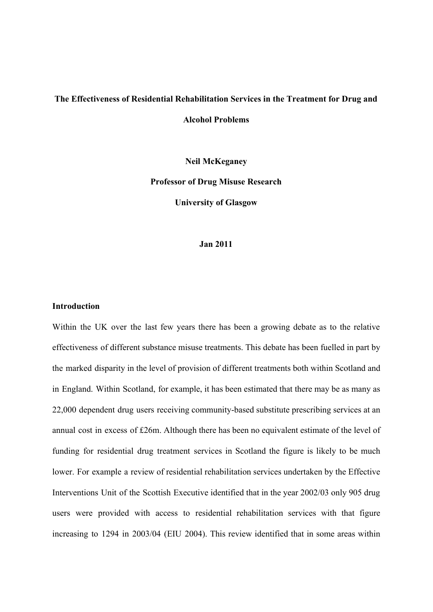# **The Effectiveness of Residential Rehabilitation Services in the Treatment for Drug and Alcohol Problems**

**Neil McKeganey Professor of Drug Misuse Research University of Glasgow**

#### **Jan 2011**

#### **Introduction**

Within the UK over the last few years there has been a growing debate as to the relative effectiveness of different substance misuse treatments. This debate has been fuelled in part by the marked disparity in the level of provision of different treatments both within Scotland and in England. Within Scotland, for example, it has been estimated that there may be as many as 22,000 dependent drug users receiving community-based substitute prescribing services at an annual cost in excess of £26m. Although there has been no equivalent estimate of the level of funding for residential drug treatment services in Scotland the figure is likely to be much lower. For example a review of residential rehabilitation services undertaken by the Effective Interventions Unit of the Scottish Executive identified that in the year 2002/03 only 905 drug users were provided with access to residential rehabilitation services with that figure increasing to 1294 in 2003/04 (EIU 2004). This review identified that in some areas within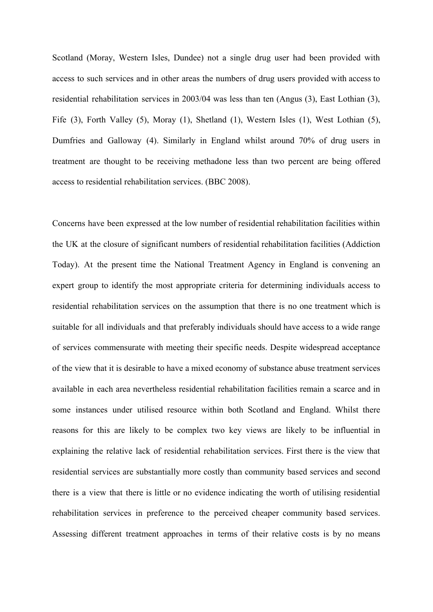Scotland (Moray, Western Isles, Dundee) not a single drug user had been provided with access to such services and in other areas the numbers of drug users provided with access to residential rehabilitation services in 2003/04 was less than ten (Angus (3), East Lothian (3), Fife (3), Forth Valley (5), Moray (1), Shetland (1), Western Isles (1), West Lothian (5), Dumfries and Galloway (4). Similarly in England whilst around 70% of drug users in treatment are thought to be receiving methadone less than two percent are being offered access to residential rehabilitation services. (BBC 2008).

Concerns have been expressed at the low number of residential rehabilitation facilities within the UK at the closure of significant numbers of residential rehabilitation facilities (Addiction Today). At the present time the National Treatment Agency in England is convening an expert group to identify the most appropriate criteria for determining individuals access to residential rehabilitation services on the assumption that there is no one treatment which is suitable for all individuals and that preferably individuals should have access to a wide range of services commensurate with meeting their specific needs. Despite widespread acceptance of the view that it is desirable to have a mixed economy of substance abuse treatment services available in each area nevertheless residential rehabilitation facilities remain a scarce and in some instances under utilised resource within both Scotland and England. Whilst there reasons for this are likely to be complex two key views are likely to be influential in explaining the relative lack of residential rehabilitation services. First there is the view that residential services are substantially more costly than community based services and second there is a view that there is little or no evidence indicating the worth of utilising residential rehabilitation services in preference to the perceived cheaper community based services. Assessing different treatment approaches in terms of their relative costs is by no means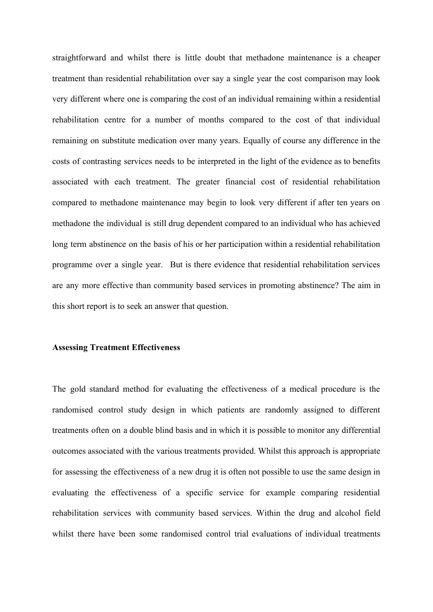straightforward and whilst there is little doubt that methadone maintenance is a cheaper treatment than residential rehabilitation over say a single year the cost comparison may look very different where one is comparing the cost of an individual remaining within a residential rehabilitation centre for a number of months compared to the cost of that individual remaining on substitute medication over many years. Equally of course any difference in the costs of contrasting services needs to be interpreted in the light of the evidence as to benefits associated with each treatment. The greater financial cost of residential rehabilitation compared to methadone maintenance may begin to look very different if after ten years on methadone the individual is still drug dependent compared to an individual who has achieved long term abstinence on the basis of his or her participation within a residential rehabilitation programme over a single year. But is there evidence that residential rehabilitation services are any more effective than community based services in promoting abstinence? The aim in this short report is to seek an answer that question.

## **Assessing Treatment Effectiveness**

The gold standard method for evaluating the effectiveness of a medical procedure is the randomised control study design in which patients are randomly assigned to different treatments often on a double blind basis and in which it is possible to monitor any differential outcomes associated with the various treatments provided. Whilst this approach is appropriate for assessing the effectiveness of a new drug it is often not possible to use the same design in evaluating the effectiveness of a specific service for example comparing residential rehabilitation services with community based services. Within the drug and alcohol field whilst there have been some randomised control trial evaluations of individual treatments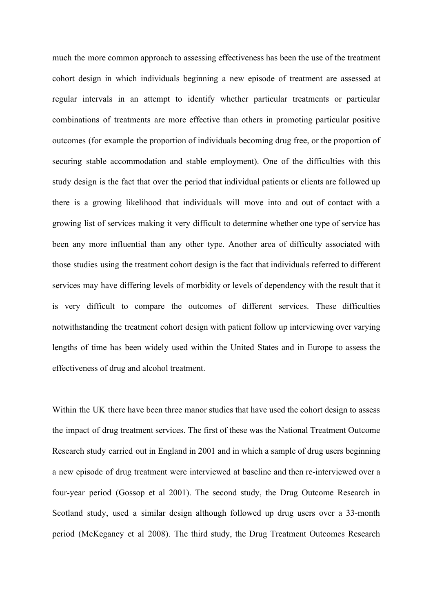much the more common approach to assessing effectiveness has been the use of the treatment cohort design in which individuals beginning a new episode of treatment are assessed at regular intervals in an attempt to identify whether particular treatments or particular combinations of treatments are more effective than others in promoting particular positive outcomes (for example the proportion of individuals becoming drug free, or the proportion of securing stable accommodation and stable employment). One of the difficulties with this study design is the fact that over the period that individual patients or clients are followed up there is a growing likelihood that individuals will move into and out of contact with a growing list of services making it very difficult to determine whether one type of service has been any more influential than any other type. Another area of difficulty associated with those studies using the treatment cohort design is the fact that individuals referred to different services may have differing levels of morbidity or levels of dependency with the result that it is very difficult to compare the outcomes of different services. These difficulties notwithstanding the treatment cohort design with patient follow up interviewing over varying lengths of time has been widely used within the United States and in Europe to assess the effectiveness of drug and alcohol treatment.

Within the UK there have been three manor studies that have used the cohort design to assess the impact of drug treatment services. The first of these was the National Treatment Outcome Research study carried out in England in 2001 and in which a sample of drug users beginning a new episode of drug treatment were interviewed at baseline and then re-interviewed over a four-year period (Gossop et al 2001). The second study, the Drug Outcome Research in Scotland study, used a similar design although followed up drug users over a 33-month period (McKeganey et al 2008). The third study, the Drug Treatment Outcomes Research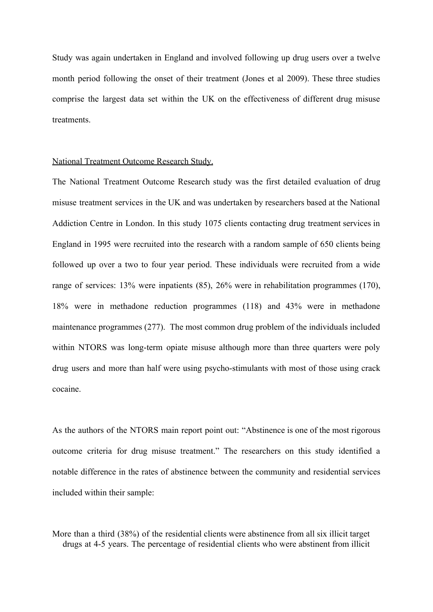Study was again undertaken in England and involved following up drug users over a twelve month period following the onset of their treatment (Jones et al 2009). These three studies comprise the largest data set within the UK on the effectiveness of different drug misuse treatments.

#### National Treatment Outcome Research Study.

The National Treatment Outcome Research study was the first detailed evaluation of drug misuse treatment services in the UK and was undertaken by researchers based at the National Addiction Centre in London. In this study 1075 clients contacting drug treatment services in England in 1995 were recruited into the research with a random sample of 650 clients being followed up over a two to four year period. These individuals were recruited from a wide range of services: 13% were inpatients (85), 26% were in rehabilitation programmes (170), 18% were in methadone reduction programmes (118) and 43% were in methadone maintenance programmes (277). The most common drug problem of the individuals included within NTORS was long-term opiate misuse although more than three quarters were poly drug users and more than half were using psycho-stimulants with most of those using crack cocaine.

As the authors of the NTORS main report point out: "Abstinence is one of the most rigorous outcome criteria for drug misuse treatment." The researchers on this study identified a notable difference in the rates of abstinence between the community and residential services included within their sample:

More than a third (38%) of the residential clients were abstinence from all six illicit target drugs at 4-5 years. The percentage of residential clients who were abstinent from illicit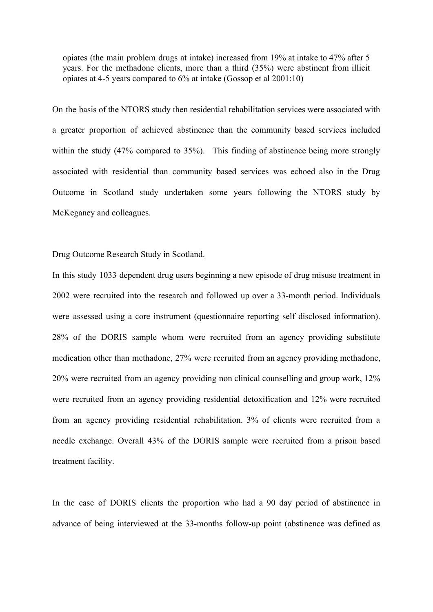opiates (the main problem drugs at intake) increased from 19% at intake to 47% after 5 years. For the methadone clients, more than a third (35%) were abstinent from illicit opiates at 4-5 years compared to 6% at intake (Gossop et al 2001:10)

On the basis of the NTORS study then residential rehabilitation services were associated with a greater proportion of achieved abstinence than the community based services included within the study (47% compared to 35%). This finding of abstinence being more strongly associated with residential than community based services was echoed also in the Drug Outcome in Scotland study undertaken some years following the NTORS study by McKeganey and colleagues.

# Drug Outcome Research Study in Scotland.

In this study 1033 dependent drug users beginning a new episode of drug misuse treatment in 2002 were recruited into the research and followed up over a 33-month period. Individuals were assessed using a core instrument (questionnaire reporting self disclosed information). 28% of the DORIS sample whom were recruited from an agency providing substitute medication other than methadone, 27% were recruited from an agency providing methadone, 20% were recruited from an agency providing non clinical counselling and group work, 12% were recruited from an agency providing residential detoxification and 12% were recruited from an agency providing residential rehabilitation. 3% of clients were recruited from a needle exchange. Overall 43% of the DORIS sample were recruited from a prison based treatment facility.

In the case of DORIS clients the proportion who had a 90 day period of abstinence in advance of being interviewed at the 33-months follow-up point (abstinence was defined as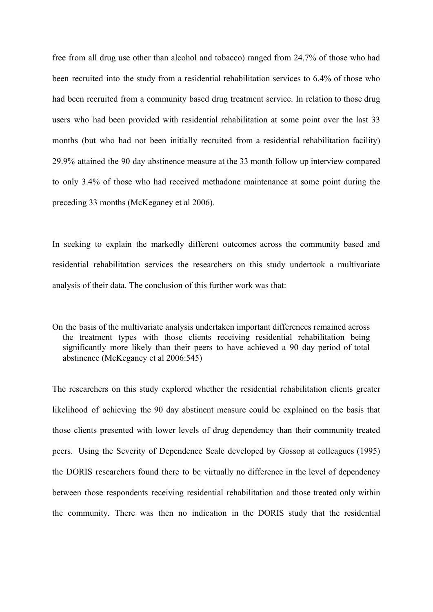free from all drug use other than alcohol and tobacco) ranged from 24.7% of those who had been recruited into the study from a residential rehabilitation services to 6.4% of those who had been recruited from a community based drug treatment service. In relation to those drug users who had been provided with residential rehabilitation at some point over the last 33 months (but who had not been initially recruited from a residential rehabilitation facility) 29.9% attained the 90 day abstinence measure at the 33 month follow up interview compared to only 3.4% of those who had received methadone maintenance at some point during the preceding 33 months (McKeganey et al 2006).

In seeking to explain the markedly different outcomes across the community based and residential rehabilitation services the researchers on this study undertook a multivariate analysis of their data. The conclusion of this further work was that:

On the basis of the multivariate analysis undertaken important differences remained across the treatment types with those clients receiving residential rehabilitation being significantly more likely than their peers to have achieved a 90 day period of total abstinence (McKeganey et al 2006:545)

The researchers on this study explored whether the residential rehabilitation clients greater likelihood of achieving the 90 day abstinent measure could be explained on the basis that those clients presented with lower levels of drug dependency than their community treated peers. Using the Severity of Dependence Scale developed by Gossop at colleagues (1995) the DORIS researchers found there to be virtually no difference in the level of dependency between those respondents receiving residential rehabilitation and those treated only within the community. There was then no indication in the DORIS study that the residential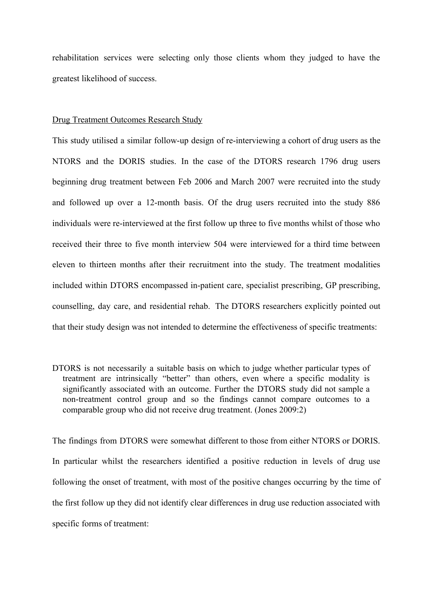rehabilitation services were selecting only those clients whom they judged to have the greatest likelihood of success.

# Drug Treatment Outcomes Research Study

This study utilised a similar follow-up design of re-interviewing a cohort of drug users as the NTORS and the DORIS studies. In the case of the DTORS research 1796 drug users beginning drug treatment between Feb 2006 and March 2007 were recruited into the study and followed up over a 12-month basis. Of the drug users recruited into the study 886 individuals were re-interviewed at the first follow up three to five months whilst of those who received their three to five month interview 504 were interviewed for a third time between eleven to thirteen months after their recruitment into the study. The treatment modalities included within DTORS encompassed in-patient care, specialist prescribing, GP prescribing, counselling, day care, and residential rehab. The DTORS researchers explicitly pointed out that their study design was not intended to determine the effectiveness of specific treatments:

DTORS is not necessarily a suitable basis on which to judge whether particular types of treatment are intrinsically "better" than others, even where a specific modality is significantly associated with an outcome. Further the DTORS study did not sample a non-treatment control group and so the findings cannot compare outcomes to a comparable group who did not receive drug treatment. (Jones 2009:2)

The findings from DTORS were somewhat different to those from either NTORS or DORIS. In particular whilst the researchers identified a positive reduction in levels of drug use following the onset of treatment, with most of the positive changes occurring by the time of the first follow up they did not identify clear differences in drug use reduction associated with specific forms of treatment: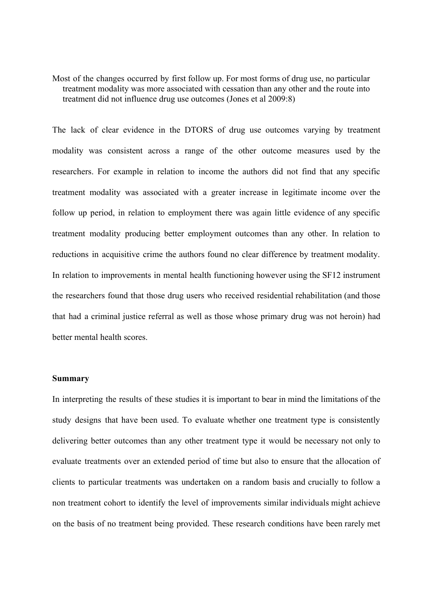Most of the changes occurred by first follow up. For most forms of drug use, no particular treatment modality was more associated with cessation than any other and the route into treatment did not influence drug use outcomes (Jones et al 2009:8)

The lack of clear evidence in the DTORS of drug use outcomes varying by treatment modality was consistent across a range of the other outcome measures used by the researchers. For example in relation to income the authors did not find that any specific treatment modality was associated with a greater increase in legitimate income over the follow up period, in relation to employment there was again little evidence of any specific treatment modality producing better employment outcomes than any other. In relation to reductions in acquisitive crime the authors found no clear difference by treatment modality. In relation to improvements in mental health functioning however using the SF12 instrument the researchers found that those drug users who received residential rehabilitation (and those that had a criminal justice referral as well as those whose primary drug was not heroin) had better mental health scores.

## **Summary**

In interpreting the results of these studies it is important to bear in mind the limitations of the study designs that have been used. To evaluate whether one treatment type is consistently delivering better outcomes than any other treatment type it would be necessary not only to evaluate treatments over an extended period of time but also to ensure that the allocation of clients to particular treatments was undertaken on a random basis and crucially to follow a non treatment cohort to identify the level of improvements similar individuals might achieve on the basis of no treatment being provided. These research conditions have been rarely met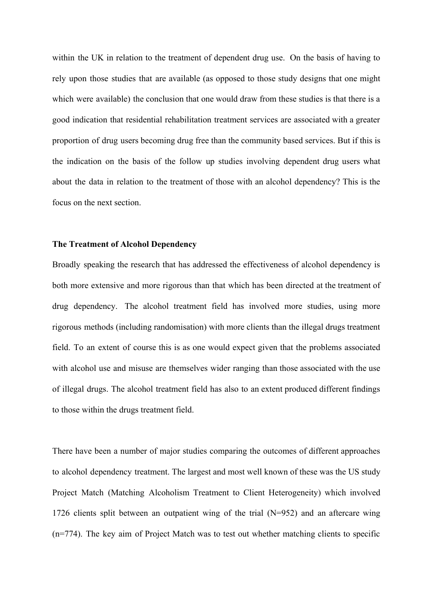within the UK in relation to the treatment of dependent drug use. On the basis of having to rely upon those studies that are available (as opposed to those study designs that one might which were available) the conclusion that one would draw from these studies is that there is a good indication that residential rehabilitation treatment services are associated with a greater proportion of drug users becoming drug free than the community based services. But if this is the indication on the basis of the follow up studies involving dependent drug users what about the data in relation to the treatment of those with an alcohol dependency? This is the focus on the next section.

#### **The Treatment of Alcohol Dependency**

Broadly speaking the research that has addressed the effectiveness of alcohol dependency is both more extensive and more rigorous than that which has been directed at the treatment of drug dependency. The alcohol treatment field has involved more studies, using more rigorous methods (including randomisation) with more clients than the illegal drugs treatment field. To an extent of course this is as one would expect given that the problems associated with alcohol use and misuse are themselves wider ranging than those associated with the use of illegal drugs. The alcohol treatment field has also to an extent produced different findings to those within the drugs treatment field.

There have been a number of major studies comparing the outcomes of different approaches to alcohol dependency treatment. The largest and most well known of these was the US study Project Match (Matching Alcoholism Treatment to Client Heterogeneity) which involved 1726 clients split between an outpatient wing of the trial (N=952) and an aftercare wing (n=774). The key aim of Project Match was to test out whether matching clients to specific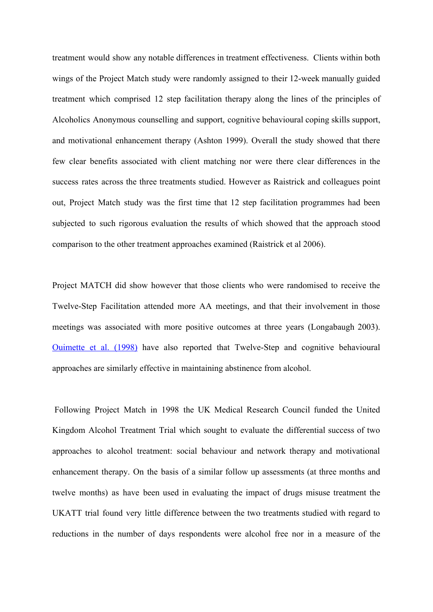treatment would show any notable differences in treatment effectiveness. Clients within both wings of the Project Match study were randomly assigned to their 12-week manually guided treatment which comprised 12 step facilitation therapy along the lines of the principles of Alcoholics Anonymous counselling and support, cognitive behavioural coping skills support, and motivational enhancement therapy (Ashton 1999). Overall the study showed that there few clear benefits associated with client matching nor were there clear differences in the success rates across the three treatments studied. However as Raistrick and colleagues point out, Project Match study was the first time that 12 step facilitation programmes had been subjected to such rigorous evaluation the results of which showed that the approach stood comparison to the other treatment approaches examined (Raistrick et al 2006).

Project MATCH did show however that those clients who were randomised to receive the Twelve-Step Facilitation attended more AA meetings, and that their involvement in those meetings was associated with more positive outcomes at three years (Longabaugh 2003). [Ouimette](http://alcalc.oxfordjournals.org/content/38/5/421.full#ref-29) et al. (1998) have also reported that Twelve-Step and cognitive behavioural approaches are similarly effective in maintaining abstinence from alcohol.

 Following Project Match in 1998 the UK Medical Research Council funded the United Kingdom Alcohol Treatment Trial which sought to evaluate the differential success of two approaches to alcohol treatment: social behaviour and network therapy and motivational enhancement therapy. On the basis of a similar follow up assessments (at three months and twelve months) as have been used in evaluating the impact of drugs misuse treatment the UKATT trial found very little difference between the two treatments studied with regard to reductions in the number of days respondents were alcohol free nor in a measure of the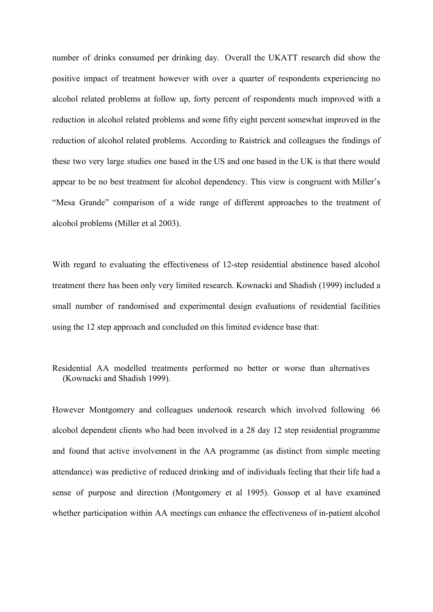number of drinks consumed per drinking day. Overall the UKATT research did show the positive impact of treatment however with over a quarter of respondents experiencing no alcohol related problems at follow up, forty percent of respondents much improved with a reduction in alcohol related problems and some fifty eight percent somewhat improved in the reduction of alcohol related problems. According to Raistrick and colleagues the findings of these two very large studies one based in the US and one based in the UK is that there would appear to be no best treatment for alcohol dependency. This view is congruent with Miller's "Mesa Grande" comparison of a wide range of different approaches to the treatment of alcohol problems (Miller et al 2003).

With regard to evaluating the effectiveness of 12-step residential abstinence based alcohol treatment there has been only very limited research. Kownacki and Shadish (1999) included a small number of randomised and experimental design evaluations of residential facilities using the 12 step approach and concluded on this limited evidence base that:

Residential AA modelled treatments performed no better or worse than alternatives (Kownacki and Shadish 1999).

However Montgomery and colleagues undertook research which involved following 66 alcohol dependent clients who had been involved in a 28 day 12 step residential programme and found that active involvement in the AA programme (as distinct from simple meeting attendance) was predictive of reduced drinking and of individuals feeling that their life had a sense of purpose and direction (Montgomery et al 1995). Gossop et al have examined whether participation within AA meetings can enhance the effectiveness of in-patient alcohol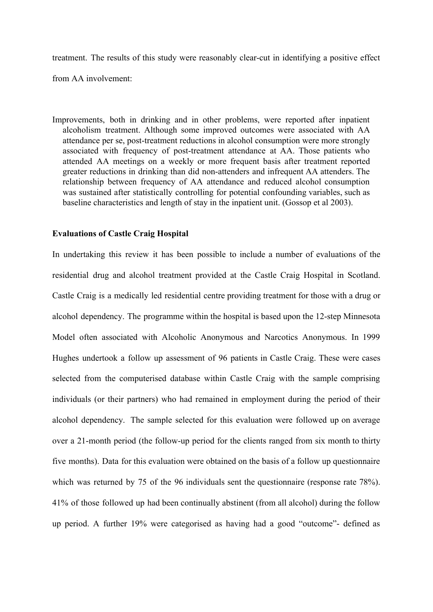treatment. The results of this study were reasonably clear-cut in identifying a positive effect

from AA involvement:

Improvements, both in drinking and in other problems, were reported after inpatient alcoholism treatment. Although some improved outcomes were associated with AA attendance per se, post-treatment reductions in alcohol consumption were more strongly associated with frequency of post-treatment attendance at AA. Those patients who attended AA meetings on a weekly or more frequent basis after treatment reported greater reductions in drinking than did non-attenders and infrequent AA attenders. The relationship between frequency of AA attendance and reduced alcohol consumption was sustained after statistically controlling for potential confounding variables, such as baseline characteristics and length of stay in the inpatient unit. (Gossop et al 2003).

# **Evaluations of Castle Craig Hospital**

In undertaking this review it has been possible to include a number of evaluations of the residential drug and alcohol treatment provided at the Castle Craig Hospital in Scotland. Castle Craig is a medically led residential centre providing treatment for those with a drug or alcohol dependency. The programme within the hospital is based upon the 12-step Minnesota Model often associated with Alcoholic Anonymous and Narcotics Anonymous. In 1999 Hughes undertook a follow up assessment of 96 patients in Castle Craig. These were cases selected from the computerised database within Castle Craig with the sample comprising individuals (or their partners) who had remained in employment during the period of their alcohol dependency. The sample selected for this evaluation were followed up on average over a 21-month period (the follow-up period for the clients ranged from six month to thirty five months). Data for this evaluation were obtained on the basis of a follow up questionnaire which was returned by 75 of the 96 individuals sent the questionnaire (response rate 78%). 41% of those followed up had been continually abstinent (from all alcohol) during the follow up period. A further 19% were categorised as having had a good "outcome"- defined as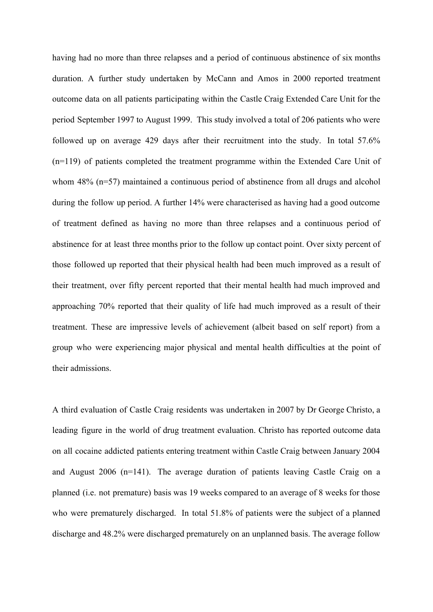having had no more than three relapses and a period of continuous abstinence of six months duration. A further study undertaken by McCann and Amos in 2000 reported treatment outcome data on all patients participating within the Castle Craig Extended Care Unit for the period September 1997 to August 1999. This study involved a total of 206 patients who were followed up on average 429 days after their recruitment into the study. In total 57.6% (n=119) of patients completed the treatment programme within the Extended Care Unit of whom 48% (n=57) maintained a continuous period of abstinence from all drugs and alcohol during the follow up period. A further 14% were characterised as having had a good outcome of treatment defined as having no more than three relapses and a continuous period of abstinence for at least three months prior to the follow up contact point. Over sixty percent of those followed up reported that their physical health had been much improved as a result of their treatment, over fifty percent reported that their mental health had much improved and approaching 70% reported that their quality of life had much improved as a result of their treatment. These are impressive levels of achievement (albeit based on self report) from a group who were experiencing major physical and mental health difficulties at the point of their admissions.

A third evaluation of Castle Craig residents was undertaken in 2007 by Dr George Christo, a leading figure in the world of drug treatment evaluation. Christo has reported outcome data on all cocaine addicted patients entering treatment within Castle Craig between January 2004 and August 2006 (n=141). The average duration of patients leaving Castle Craig on a planned (i.e. not premature) basis was 19 weeks compared to an average of 8 weeks for those who were prematurely discharged. In total 51.8% of patients were the subject of a planned discharge and 48.2% were discharged prematurely on an unplanned basis. The average follow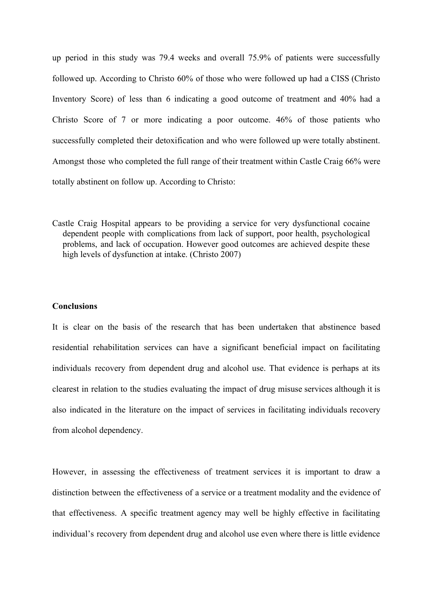up period in this study was 79.4 weeks and overall 75.9% of patients were successfully followed up. According to Christo 60% of those who were followed up had a CISS (Christo Inventory Score) of less than 6 indicating a good outcome of treatment and 40% had a Christo Score of 7 or more indicating a poor outcome. 46% of those patients who successfully completed their detoxification and who were followed up were totally abstinent. Amongst those who completed the full range of their treatment within Castle Craig 66% were totally abstinent on follow up. According to Christo:

Castle Craig Hospital appears to be providing a service for very dysfunctional cocaine dependent people with complications from lack of support, poor health, psychological problems, and lack of occupation. However good outcomes are achieved despite these high levels of dysfunction at intake. (Christo 2007)

#### **Conclusions**

It is clear on the basis of the research that has been undertaken that abstinence based residential rehabilitation services can have a significant beneficial impact on facilitating individuals recovery from dependent drug and alcohol use. That evidence is perhaps at its clearest in relation to the studies evaluating the impact of drug misuse services although it is also indicated in the literature on the impact of services in facilitating individuals recovery from alcohol dependency.

However, in assessing the effectiveness of treatment services it is important to draw a distinction between the effectiveness of a service or a treatment modality and the evidence of that effectiveness. A specific treatment agency may well be highly effective in facilitating individual's recovery from dependent drug and alcohol use even where there is little evidence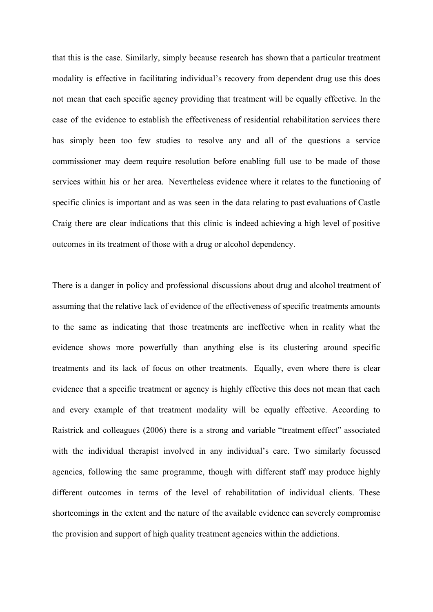that this is the case. Similarly, simply because research has shown that a particular treatment modality is effective in facilitating individual's recovery from dependent drug use this does not mean that each specific agency providing that treatment will be equally effective. In the case of the evidence to establish the effectiveness of residential rehabilitation services there has simply been too few studies to resolve any and all of the questions a service commissioner may deem require resolution before enabling full use to be made of those services within his or her area. Nevertheless evidence where it relates to the functioning of specific clinics is important and as was seen in the data relating to past evaluations of Castle Craig there are clear indications that this clinic is indeed achieving a high level of positive outcomes in its treatment of those with a drug or alcohol dependency.

There is a danger in policy and professional discussions about drug and alcohol treatment of assuming that the relative lack of evidence of the effectiveness of specific treatments amounts to the same as indicating that those treatments are ineffective when in reality what the evidence shows more powerfully than anything else is its clustering around specific treatments and its lack of focus on other treatments. Equally, even where there is clear evidence that a specific treatment or agency is highly effective this does not mean that each and every example of that treatment modality will be equally effective. According to Raistrick and colleagues (2006) there is a strong and variable "treatment effect" associated with the individual therapist involved in any individual's care. Two similarly focussed agencies, following the same programme, though with different staff may produce highly different outcomes in terms of the level of rehabilitation of individual clients. These shortcomings in the extent and the nature of the available evidence can severely compromise the provision and support of high quality treatment agencies within the addictions.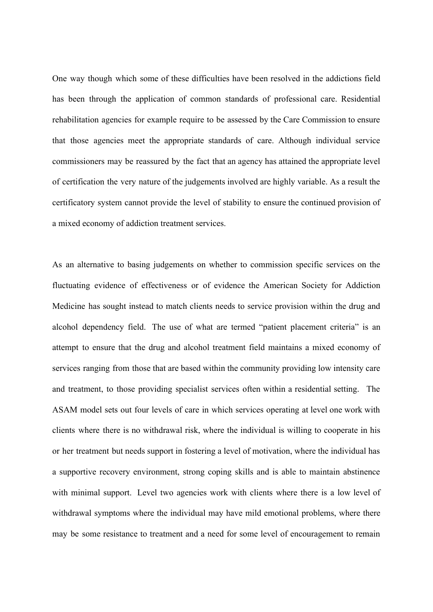One way though which some of these difficulties have been resolved in the addictions field has been through the application of common standards of professional care. Residential rehabilitation agencies for example require to be assessed by the Care Commission to ensure that those agencies meet the appropriate standards of care. Although individual service commissioners may be reassured by the fact that an agency has attained the appropriate level of certification the very nature of the judgements involved are highly variable. As a result the certificatory system cannot provide the level of stability to ensure the continued provision of a mixed economy of addiction treatment services.

As an alternative to basing judgements on whether to commission specific services on the fluctuating evidence of effectiveness or of evidence the American Society for Addiction Medicine has sought instead to match clients needs to service provision within the drug and alcohol dependency field. The use of what are termed "patient placement criteria" is an attempt to ensure that the drug and alcohol treatment field maintains a mixed economy of services ranging from those that are based within the community providing low intensity care and treatment, to those providing specialist services often within a residential setting. The ASAM model sets out four levels of care in which services operating at level one work with clients where there is no withdrawal risk, where the individual is willing to cooperate in his or her treatment but needs support in fostering a level of motivation, where the individual has a supportive recovery environment, strong coping skills and is able to maintain abstinence with minimal support. Level two agencies work with clients where there is a low level of withdrawal symptoms where the individual may have mild emotional problems, where there may be some resistance to treatment and a need for some level of encouragement to remain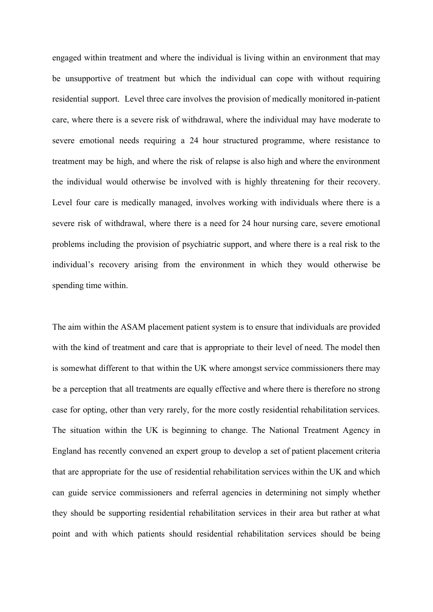engaged within treatment and where the individual is living within an environment that may be unsupportive of treatment but which the individual can cope with without requiring residential support. Level three care involves the provision of medically monitored in-patient care, where there is a severe risk of withdrawal, where the individual may have moderate to severe emotional needs requiring a 24 hour structured programme, where resistance to treatment may be high, and where the risk of relapse is also high and where the environment the individual would otherwise be involved with is highly threatening for their recovery. Level four care is medically managed, involves working with individuals where there is a severe risk of withdrawal, where there is a need for 24 hour nursing care, severe emotional problems including the provision of psychiatric support, and where there is a real risk to the individual's recovery arising from the environment in which they would otherwise be spending time within.

The aim within the ASAM placement patient system is to ensure that individuals are provided with the kind of treatment and care that is appropriate to their level of need. The model then is somewhat different to that within the UK where amongst service commissioners there may be a perception that all treatments are equally effective and where there is therefore no strong case for opting, other than very rarely, for the more costly residential rehabilitation services. The situation within the UK is beginning to change. The National Treatment Agency in England has recently convened an expert group to develop a set of patient placement criteria that are appropriate for the use of residential rehabilitation services within the UK and which can guide service commissioners and referral agencies in determining not simply whether they should be supporting residential rehabilitation services in their area but rather at what point and with which patients should residential rehabilitation services should be being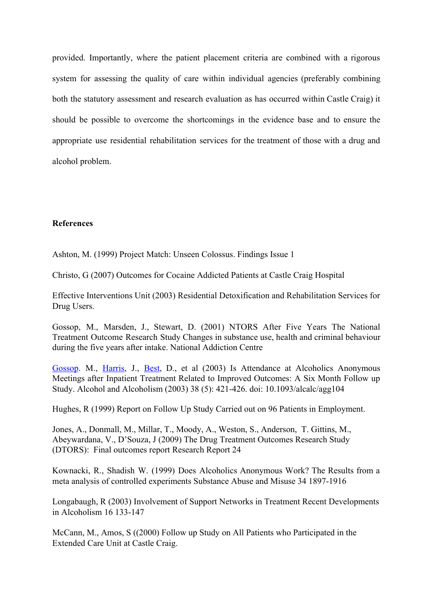provided. Importantly, where the patient placement criteria are combined with a rigorous system for assessing the quality of care within individual agencies (preferably combining both the statutory assessment and research evaluation as has occurred within Castle Craig) it should be possible to overcome the shortcomings in the evidence base and to ensure the appropriate use residential rehabilitation services for the treatment of those with a drug and alcohol problem.

# **References**

Ashton, M. (1999) Project Match: Unseen Colossus. Findings Issue 1

Christo, G (2007) Outcomes for Cocaine Addicted Patients at Castle Craig Hospital

Effective Interventions Unit (2003) Residential Detoxification and Rehabilitation Services for Drug Users.

Gossop, M., Marsden, J., Stewart, D. (2001) NTORS After Five Years The National Treatment Outcome Research Study Changes in substance use, health and criminal behaviour during the five years after intake. National Addiction Centre

[Gossop](http://alcalc.oxfordjournals.org/search?author1=Michael+Gossop&sortspec=date&submit=Submit). M., [Harris](http://alcalc.oxfordjournals.org/search?author1=Jennifer+Harris&sortspec=date&submit=Submit), J., [Best,](http://alcalc.oxfordjournals.org/search?author1=David+Best&sortspec=date&submit=Submit) D., et al (2003) Is Attendance at Alcoholics Anonymous Meetings after Inpatient Treatment Related to Improved Outcomes: A Six Month Follow up Study. Alcohol and Alcoholism (2003) 38 (5): 421-426. doi: 10.1093/alcalc/agg104

Hughes, R (1999) Report on Follow Up Study Carried out on 96 Patients in Employment.

Jones, A., Donmall, M., Millar, T., Moody, A., Weston, S., Anderson, T. Gittins, M., Abeywardana, V., D'Souza, J (2009) The Drug Treatment Outcomes Research Study (DTORS): Final outcomes report Research Report 24

Kownacki, R., Shadish W. (1999) Does Alcoholics Anonymous Work? The Results from a meta analysis of controlled experiments Substance Abuse and Misuse 34 1897-1916

Longabaugh, R (2003) Involvement of Support Networks in Treatment Recent Developments in Alcoholism 16 133-147

McCann, M., Amos, S ((2000) Follow up Study on All Patients who Participated in the Extended Care Unit at Castle Craig.